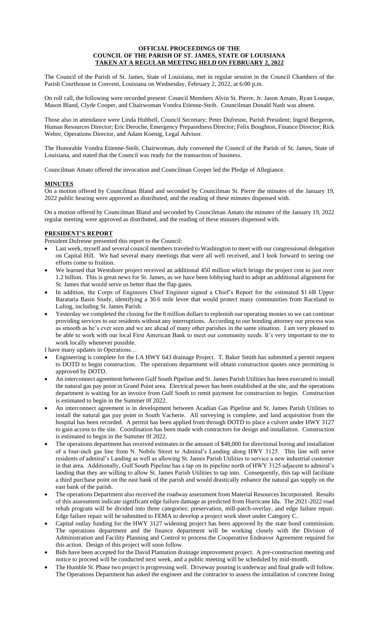#### **OFFICIAL PROCEEDINGS OF THE COUNCIL OF THE PARISH OF ST. JAMES, STATE OF LOUISIANA TAKEN AT A REGULAR MEETING HELD ON FEBRUARY 2, 2022**

The Council of the Parish of St. James, State of Louisiana, met in regular session in the Council Chambers of the Parish Courthouse in Convent, Louisiana on Wednesday, February 2, 2022, at 6:00 p.m.

On roll call, the following were recorded present: Council Members Alvin St. Pierre, Jr. Jason Amato, Ryan Louque, Mason Bland, Clyde Cooper, and Chairwoman Vondra Etienne-Steib. Councilman Donald Nash was absent.

Those also in attendance were Linda Hubbell, Council Secretary; Peter Dufresne, Parish President; Ingrid Bergeron, Human Resources Director; Eric Deroche, Emergency Preparedness Director; Felix Boughton, Finance Director; Rick Webre, Operations Director, and Adam Koenig, Legal Advisor.

The Honorable Vondra Etienne-Steib, Chairwoman, duly convened the Council of the Parish of St. James, State of Louisiana, and stated that the Council was ready for the transaction of business.

Councilman Amato offered the invocation and Councilman Cooper led the Pledge of Allegiance.

## **MINUTES**

On a motion offered by Councilman Bland and seconded by Councilman St. Pierre the minutes of the January 19, 2022 public hearing were approved as distributed, and the reading of these minutes dispensed with.

On a motion offered by Councilman Bland and seconded by Councilman Amato the minutes of the January 19, 2022 regular meeting were approved as distributed, and the reading of these minutes dispensed with.

### **PRESIDENT'S REPORT**

President Dufresne presented this report to the Council:

- Last week, myself and several council members traveled to Washington to meet with our congressional delegation on Capital Hill. We had several many meetings that were all well received, and I look forward to seeing our efforts come to fruition.
- We learned that Westshore project received an additional 450 million which brings the project cost to just over 1.2 billion. This is great news for St. James, as we have been lobbying hard to adopt an additional alignment for St. James that would serve us better than the flap gates.
- In addition, the Corps of Engineers Chief Engineer signed a Chief's Report for the estimated \$1.6B Upper Barataria Basin Study, identifying a 30.6 mile levee that would protect many communities from Raceland to Luling, including St. James Parish.
- Yesterday we completed the closing for the 8 million dollars to replenish our operating monies so we can continue providing services to our residents without any interruptions. According to our bonding attorney our process was as smooth as he's ever seen and we are ahead of many other parishes in the same situation. I am very pleased to be able to work with our local First American Bank to meet our community needs. It's very important to me to work locally whenever possible.

I have many updates in Operations…

- Engineering is complete for the LA HWY 643 drainage Project. T. Baker Smith has submitted a permit request to DOTD to begin construction. The operations department will obtain construction quotes once permitting is approved by DOTD.
- An interconnect agreement between Gulf South Pipeline and St. James Parish Utilities has been executed to install the natural gas pay point in Grand Point area. Electrical power has been established at the site, and the operations department is waiting for an invoice from Gulf South to remit payment for construction to begin. Construction is estimated to begin in the Summer 0f 2022.
- An interconnect agreement is in development between Acadian Gas Pipeline and St. James Parish Utilities to install the natural gas pay point in South Vacherie. All surveying is complete, and land acquisition from the hospital has been recorded. A permit has been applied from through DOTD to place a culvert under HWY 3127 to gain access to the site. Coordination has been made with contractors for design and installation. Construction is estimated to begin in the Summer 0f 2022.
- The operations department has received estimates in the amount of \$48,000 for directional boring and installation of a four-inch gas line from N. Nobile Street to Admiral's Landing along HWY 3125. This line will serve residents of admiral's Landing as well as allowing St. James Parish Utilities to service a new industrial customer in that area. Additionally, Gulf South Pipeline has a tap on its pipeline north of HWY 3125 adjacent to admiral's landing that they are willing to allow St. James Parish Utilities to tap into. Consequently, this tap will facilitate a third purchase point on the east bank of the parish and would drastically enhance the natural gas supply on the east bank of the parish.
- The operations Department also received the roadway assessment from Material Resources Incorporated. Results of this assessment indicate significant edge failure damage as predicted from Hurricane Ida. The 2021-2022 road rehab program will be divided into three categories: preservation, mill-patch-overlay, and edge failure repair. Edge failure repair will be submitted to FEMA to develop a project work sheet under Category C.
- Capital outlay funding for the HWY 3127 widening project has been approved by the state bond commission. The operations department and the finance department will be working closely with the Division of Administration and Facility Planning and Control to process the Cooperative Endeavor Agreement required for this action. Design of this project will soon follow.
- Bids have been accepted for the David Plantation drainage improvement project. A pre-construction meeting and notice to proceed will be conducted next week, and a public meeting will be scheduled by mid-month.
- The Humble St. Phase two project is progressing well. Driveway pouring is underway and final grade will follow. The Operations Department has asked the engineer and the contractor to assess the installation of concrete lining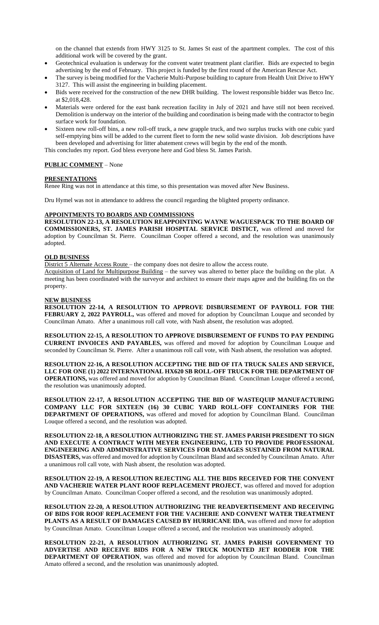on the channel that extends from HWY 3125 to St. James St east of the apartment complex. The cost of this additional work will be covered by the grant.

- Geotechnical evaluation is underway for the convent water treatment plant clarifier. Bids are expected to begin advertising by the end of February. This project is funded by the first round of the American Rescue Act.
- The survey is being modified for the Vacherie Multi-Purpose building to capture from Health Unit Drive to HWY 3127. This will assist the engineering in building placement.
- Bids were received for the construction of the new DHR building. The lowest responsible bidder was Betco Inc. at \$2,018,428.
- Materials were ordered for the east bank recreation facility in July of 2021 and have still not been received. Demolition is underway on the interior of the building and coordination is being made with the contractor to begin surface work for foundation.
- Sixteen new roll-off bins, a new roll-off truck, a new grapple truck, and two surplus trucks with one cubic yard self-emptying bins will be added to the current fleet to form the new solid waste division. Job descriptions have been developed and advertising for litter abatement crews will begin by the end of the month.

This concludes my report. God bless everyone here and God bless St. James Parish.

# **PUBLIC COMMENT** – None

### **PRESENTATIONS**

Renee Ring was not in attendance at this time, so this presentation was moved after New Business.

Dru Hymel was not in attendance to address the council regarding the blighted property ordinance.

### **APPOINTMENTS TO BOARDS AND COMMISSIONS**

**RESOLUTION 22-13, A RESOLUTION REAPPOINTING WAYNE WAGUESPACK TO THE BOARD OF COMMISSIONERS, ST. JAMES PARISH HOSPITAL SERVICE DISTICT,** was offered and moved for adoption by Councilman St. Pierre. Councilman Cooper offered a second, and the resolution was unanimously adopted.

# **OLD BUSINESS**

District 5 Alternate Access Route – the company does not desire to allow the access route.

Acquisition of Land for Multipurpose Building – the survey was altered to better place the building on the plat. A meeting has been coordinated with the surveyor and architect to ensure their maps agree and the building fits on the property.

### **NEW BUSINESS**

**RESOLUTION 22-14, A RESOLUTION TO APPROVE DISBURSEMENT OF PAYROLL FOR THE FEBRUARY 2, 2022 PAYROLL,** was offered and moved for adoption by Councilman Louque and seconded by Councilman Amato. After a unanimous roll call vote, with Nash absent, the resolution was adopted.

**RESOLUTION 22-15, A RESOLUTION TO APPROVE DISBURSEMENT OF FUNDS TO PAY PENDING CURRENT INVOICES AND PAYABLES,** was offered and moved for adoption by Councilman Louque and seconded by Councilman St. Pierre. After a unanimous roll call vote, with Nash absent, the resolution was adopted.

**RESOLUTION 22-16, A RESOLUTION ACCEPTING THE BID OF ITA TRUCK SALES AND SERVICE, LLC FOR ONE (1) 2022 INTERNATIONAL HX620 SB ROLL-OFF TRUCK FOR THE DEPARTMENT OF OPERATIONS,** was offered and moved for adoption by Councilman Bland. Councilman Louque offered a second, the resolution was unanimously adopted.

**RESOLUTION 22-17, A RESOLUTION ACCEPTING THE BID OF WASTEQUIP MANUFACTURING COMPANY LLC FOR SIXTEEN (16) 30 CUBIC YARD ROLL-OFF CONTAINERS FOR THE DEPARTMENT OF OPERATIONS,** was offered and moved for adoption by Councilman Bland. Councilman Louque offered a second, and the resolution was adopted.

**RESOLUTION 22-18, A RESOLUTION AUTHORIZING THE ST. JAMES PARISH PRESIDENT TO SIGN AND EXECUTE A CONTRACT WITH MEYER ENGINEERING, LTD TO PROVIDE PROFESSIONAL ENGINEERING AND ADMINISTRATIVE SERVICES FOR DAMAGES SUSTAINED FROM NATURAL DISASTERS,** was offered and moved for adoption by Councilman Bland and seconded by Councilman Amato. After a unanimous roll call vote, with Nash absent, the resolution was adopted.

**RESOLUTION 22-19, A RESOLUTION REJECTING ALL THE BIDS RECEIVED FOR THE CONVENT AND VACHERIE WATER PLANT ROOF REPLACEMENT PROJECT**, was offered and moved for adoption by Councilman Amato. Councilman Cooper offered a second, and the resolution was unanimously adopted.

**RESOLUTION 22-20, A RESOLUTION AUTHORIZING THE READVERTISEMENT AND RECEIVING OF BIDS FOR ROOF REPLACEMENT FOR THE VACHERIE AND CONVENT WATER TREATMENT PLANTS AS A RESULT OF DAMAGES CAUSED BY HURRICANE IDA**, was offered and move for adoption by Councilman Amato. Councilman Louque offered a second, and the resolution was unanimously adopted.

**RESOLUTION 22-21, A RESOLUTION AUTHORIZING ST. JAMES PARISH GOVERNMENT TO ADVERTISE AND RECEIVE BIDS FOR A NEW TRUCK MOUNTED JET RODDER FOR THE DEPARTMENT OF OPERATION**, was offered and moved for adoption by Councilman Bland. Councilman Amato offered a second, and the resolution was unanimously adopted.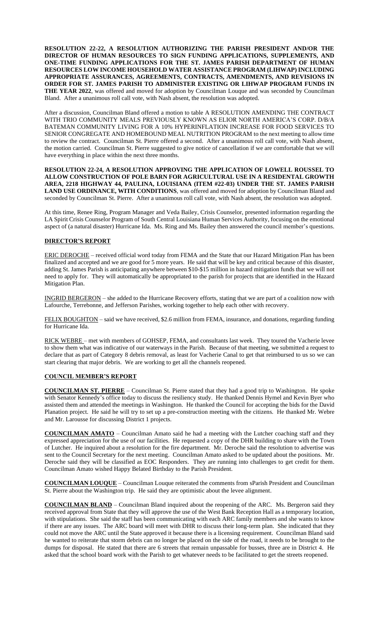**RESOLUTION 22-22, A RESOLUTION AUTHORIZING THE PARISH PRESIDENT AND/OR THE DIRECTOR OF HUMAN RESOURCES TO SIGN FUNDING APPLICATIONS, SUPPLEMENTS, AND ONE-TIME FUNDING APPLICATIONS FOR THE ST. JAMES PARISH DEPARTMENT OF HUMAN RESOURCES LOW INCOME HOUSEHOLD WATER ASSISTANCE PROGRAM (LIHWAP) INCLUDING APPROPRIATE ASSURANCES, AGREEMENTS, CONTRACTS, AMENDMENTS, AND REVISIONS IN ORDER FOR ST. JAMES PARISH TO ADMINISTER EXISTING OR LIHWAP PROGRAM FUNDS IN THE YEAR 2022**, was offered and moved for adoption by Councilman Louque and was seconded by Councilman Bland. After a unanimous roll call vote, with Nash absent, the resolution was adopted.

After a discussion, Councilman Bland offered a motion to table A RESOLUTION AMENDING THE CONTRACT WITH TRIO COMMUNITY MEALS PREVIOUSLY KNOWN AS ELIOR NORTH AMERICA'S CORP. D/B/A BATEMAN COMMUNITY LIVING FOR A 10% HYPERINFLATION INCREASE FOR FOOD SERVICES TO SENIOR CONGREGATE AND HOMEBOUND MEAL NUTRITION PROGRAM to the next meeting to allow time to review the contract. Councilman St. Pierre offered a second. After a unanimous roll call vote, with Nash absent, the motion carried. Councilman St. Pierre suggested to give notice of cancellation if we are comfortable that we will have everything in place within the next three months.

**RESOLUTION 22-24, A RESOLUTION APPROVING THE APPLICATION OF LOWELL ROUSSEL TO ALLOW CONSTRUCTION OF POLE BARN FOR AGRICULTURAL USE IN A RESIDENTAL GROWTH AREA, 2218 HIGHWAY 44, PAULINA, LOUISIANA (ITEM #22-03) UNDER THE ST. JAMES PARISH LAND USE ORDINANCE, WITH CONDITIONS**, was offered and moved for adoption by Councilman Bland and seconded by Councilman St. Pierre. After a unanimous roll call vote, with Nash absent, the resolution was adopted.

At this time, Renee Ring, Program Manager and Veda Bailey, Crisis Counselor, presented information regarding the LA Spirit Crisis Counselor Program of South Central Louisiana Human Services Authority, focusing on the emotional aspect of (a natural disaster) Hurricane Ida. Ms. Ring and Ms. Bailey then answered the council member's questions.

## **DIRECTOR'S REPORT**

ERIC DEROCHE – received official word today from FEMA and the State that our Hazard Mitigation Plan has been finalized and accepted and we are good for 5 more years. He said that will be key and critical because of this disaster, adding St. James Parish is anticipating anywhere between \$10-\$15 million in hazard mitigation funds that we will not need to apply for. They will automatically be appropriated to the parish for projects that are identified in the Hazard Mitigation Plan.

INGRID BERGERON – she added to the Hurricane Recovery efforts, stating that we are part of a coalition now with Lafourche, Terrebonne, and Jefferson Parishes, working together to help each other with recovery.

FELIX BOUGHTON – said we have received, \$2.6 million from FEMA, insurance, and donations, regarding funding for Hurricane Ida.

RICK WEBRE – met with members of GOHSEP, FEMA, and consultants last week. They toured the Vacherie levee to show them what was indicative of our waterways in the Parish. Because of that meeting, we submitted a request to declare that as part of Category 8 debris removal, as least for Vacherie Canal to get that reimbursed to us so we can start clearing that major debris. We are working to get all the channels reopened.

### **COUNCIL MEMBER'S REPORT**

**COUNCILMAN ST. PIERRE** – Councilman St. Pierre stated that they had a good trip to Washington. He spoke with Senator Kennedy's office today to discuss the resiliency study. He thanked Dennis Hymel and Kevin Byer who assisted them and attended the meetings in Washington. He thanked the Council for accepting the bids for the David Planation project. He said he will try to set up a pre-construction meeting with the citizens. He thanked Mr. Webre and Mr. Larousse for discussing District 1 projects.

**COUNCILMAN AMATO** – Councilman Amato said he had a meeting with the Lutcher coaching staff and they expressed appreciation for the use of our facilities. He requested a copy of the DHR building to share with the Town of Lutcher. He inquired about a resolution for the fire department. Mr. Deroche said the resolution to advertise was sent to the Council Secretary for the next meeting. Councilman Amato asked to be updated about the positions. Mr. Deroche said they will be classified as EOC Responders. They are running into challenges to get credit for them. Councilman Amato wished Happy Belated Birthday to the Parish President.

**COUNCILMAN LOUQUE** – Councilman Louque reiterated the comments from sParish President and Councilman St. Pierre about the Washington trip. He said they are optimistic about the levee alignment.

**COUNCILMAN BLAND** – Councilman Bland inquired about the reopening of the ARC. Ms. Bergeron said they received approval from State that they will approve the use of the West Bank Reception Hall as a temporary location, with stipulations. She said the staff has been communicating with each ARC family members and she wants to know if there are any issues. The ARC board will meet with DHR to discuss their long-term plan. She indicated that they could not move the ARC until the State approved it because there is a licensing requirement. Councilman Bland said he wanted to reiterate that storm debris can no longer be placed on the side of the road, it needs to be brought to the dumps for disposal. He stated that there are 6 streets that remain unpassable for busses, three are in District 4. He asked that the school board work with the Parish to get whatever needs to be facilitated to get the streets reopened.